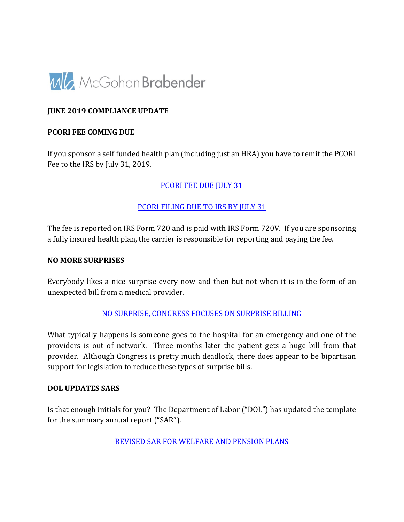

#### **JUNE 2019 COMPLIANCE UPDATE**

#### **PCORI FEE COMING DUE**

If you sponsor a self funded health plan (including just an HRA) you have to remit the PCORI Fee to the IRS by July 31, 2019.

#### [PCORI FEE DUE JULY 31](https://findley.com/2019/06/affordable-care-act-pcori-fee-due-july-31/)

#### [PCORI FILING DUE TO IRS BY JULY 31](https://www.lockton.com/insights/post/pcori-due-to-irs-by-july-31)

The fee is reported on IRS Form 720 and is paid with IRS Form 720V. If you are sponsoring a fully insured health plan, the carrier is responsible for reporting and paying the fee.

#### **NO MORE SURPRISES**

Everybody likes a nice surprise every now and then but not when it is in the form of an unexpected bill from a medical provider.

[NO SURPRISE, CONGRESS FOCUSES ON SURPRISE BILLING](https://www.alston.com/en/insights/publications/2019/06/surprise-billing)

What typically happens is someone goes to the hospital for an emergency and one of the providers is out of network. Three months later the patient gets a huge bill from that provider. Although Congress is pretty much deadlock, there does appear to be bipartisan support for legislation to reduce these types of surprise bills.

#### **DOL UPDATES SARS**

Is that enough initials for you? The Department of Labor ("DOL") has updated the template for the summary annual report ("SAR").

[REVISED SAR FOR WELFARE AND PENSION PLANS](https://www.cbiz.com/insights-resources/details/articleid/7441/revised-model-summary-annual-report-for-welfare-and-pension-benefit-plans)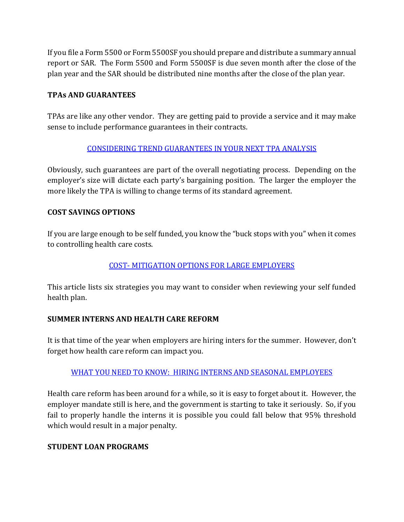If you file a Form 5500 or Form 5500SF you should prepare and distribute a summary annual report or SAR. The Form 5500 and Form 5500SF is due seven month after the close of the plan year and the SAR should be distributed nine months after the close of the plan year.

#### **TPAs AND GUARANTEES**

TPAs are like any other vendor. They are getting paid to provide a service and it may make sense to include performance guarantees in their contracts.

## [CONSIDERING TREND GUARANTEES IN YOUR NEXT TPA ANALYSIS](http://www.milliman.com/insight/research/case-studies/Considering-trend-guarantees-in-your-next-TPA-selection-analysis/)

Obviously, such guarantees are part of the overall negotiating process. Depending on the employer's size will dictate each party's bargaining position. The larger the employer the more likely the TPA is willing to change terms of its standard agreement.

## **COST SAVINGS OPTIONS**

If you are large enough to be self funded, you know the "buck stops with you" when it comes to controlling health care costs.

## [COST- MITIGATION OPTIONS FOR LARGE EMPLOYERS](https://www.cbiz.com/insights-resources/details/articleid/7427/responding-to-rising-health-care-costs-6-cost-mitigation-options-for-large-employers)

This article lists six strategies you may want to consider when reviewing your self funded health plan.

## **SUMMER INTERNS AND HEALTH CARE REFORM**

It is that time of the year when employers are hiring inters for the summer. However, don't forget how health care reform can impact you.

## [WHAT YOU NEED TO KNOW: HIRING INTERNS AND SEASONAL EMPLOYEES](https://www.tangohealth.com/blog/what-need-know-hiring-interns-aca-seasonal-employees/)

Health care reform has been around for a while, so it is easy to forget about it. However, the employer mandate still is here, and the government is starting to take it seriously. So, if you fail to properly handle the interns it is possible you could fall below that 95% threshold which would result in a major penalty.

#### **STUDENT LOAN PROGRAMS**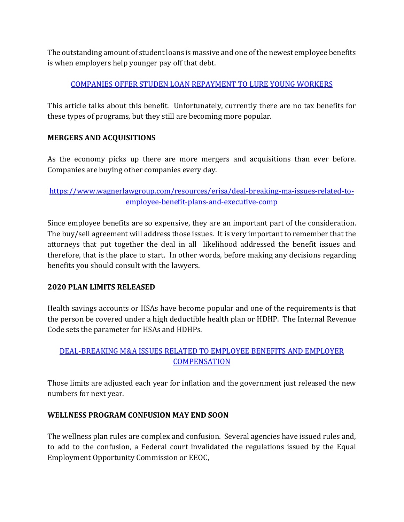The outstanding amount of student loans is massive and one of the newest employee benefits is when employers help younger pay off that debt.

## [COMPANIES OFFER STUDEN LOAN REPAYMENT TO LURE YOUNG WORKERS](https://www.forbes.com/advisor/donna-fuscaldo/2019/06/05/companies-offer-student-loan-repayment-help-to-lure-young-workers/)

This article talks about this benefit. Unfortunately, currently there are no tax benefits for these types of programs, but they still are becoming more popular.

## **MERGERS AND ACQUISITIONS**

As the economy picks up there are more mergers and acquisitions than ever before. Companies are buying other companies every day.

[https://www.wagnerlawgroup.com/resources/erisa/deal-breaking-ma-issues-related-to](https://www.wagnerlawgroup.com/resources/erisa/deal-breaking-ma-issues-related-to-employee-benefit-plans-and-executive-comp)[employee-benefit-plans-and-executive-comp](https://www.wagnerlawgroup.com/resources/erisa/deal-breaking-ma-issues-related-to-employee-benefit-plans-and-executive-comp)

Since employee benefits are so expensive, they are an important part of the consideration. The buy/sell agreement will address those issues. It is very important to remember that the attorneys that put together the deal in all likelihood addressed the benefit issues and therefore, that is the place to start. In other words, before making any decisions regarding benefits you should consult with the lawyers.

## **2020 PLAN LIMITS RELEASED**

Health savings accounts or HSAs have become popular and one of the requirements is that the person be covered under a high deductible health plan or HDHP. The Internal Revenue Code sets the parameter for HSAs and HDHPs.

# [DEAL-BREAKING M&A ISSUES RELATED TO EMPLOYEE BENEFITS AND EMPLOYER](https://www.lockton.com/insights/post/2020-inflation-adjustments-are-rolling-out-just-in-time-for-2020-planning)  **[COMPENSATION](https://www.lockton.com/insights/post/2020-inflation-adjustments-are-rolling-out-just-in-time-for-2020-planning)**

Those limits are adjusted each year for inflation and the government just released the new numbers for next year.

## **WELLNESS PROGRAM CONFUSION MAY END SOON**

The wellness plan rules are complex and confusion. Several agencies have issued rules and, to add to the confusion, a Federal court invalidated the regulations issued by the Equal Employment Opportunity Commission or EEOC,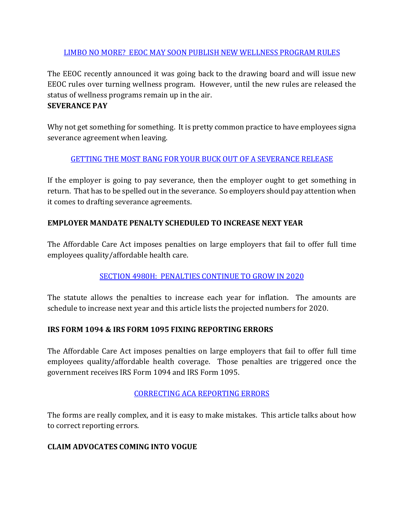#### [LIMBO NO MORE? EEOC MAY SOON PUBLISH NEW WELLNESS PROGRAM RULES](https://www.fisherphillips.com/resources-alerts-limbo-no-more-eeoc-may-soon-publish)

The EEOC recently announced it was going back to the drawing board and will issue new EEOC rules over turning wellness program. However, until the new rules are released the status of wellness programs remain up in the air.

#### **SEVERANCE PAY**

Why not get something for something. It is pretty common practice to have employees signa severance agreement when leaving.

## [GETTING THE MOST BANG FOR YOUR BUCK OUT OF A SEVERANCE RELEASE](https://hawleytroxell.com/2019/06/getting-the-most-bang-for-your-buck-out-of-a-severance-release/)

If the employer is going to pay severance, then the employer ought to get something in return. That has to be spelled out in the severance. So employers should pay attention when it comes to drafting severance agreements.

## **EMPLOYER MANDATE PENALTY SCHEDULED TO INCREASE NEXT YEAR**

The Affordable Care Act imposes penalties on large employers that fail to offer full time employees quality/affordable health care.

# [SECTION 4980H: PENALTIES CONTINUE TO GROW IN 2020](https://accord-aca.com/articles/2020-section-4980h-penalty-amounts)

The statute allows the penalties to increase each year for inflation. The amounts are schedule to increase next year and this article lists the projected numbers for 2020.

## **IRS FORM 1094 & IRS FORM 1095 FIXING REPORTING ERRORS**

The Affordable Care Act imposes penalties on large employers that fail to offer full time employees quality/affordable health coverage. Those penalties are triggered once the government receives IRS Form 1094 and IRS Form 1095.

## [CORRECTING ACA REPORTING ERRORS](https://www.hubinternational.com/products/employee-benefits/compliance-bulletins/2019/05/aca-reporting-error/)

The forms are really complex, and it is easy to make mistakes. This article talks about how to correct reporting errors.

## **CLAIM ADVOCATES COMING INTO VOGUE**